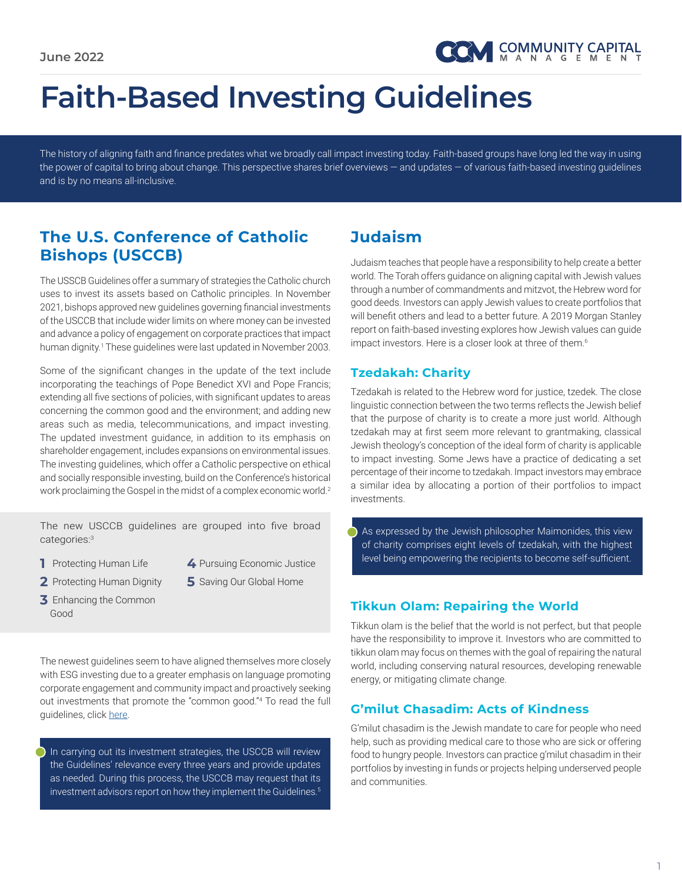# **Faith-Based Investing Guidelines**

The history of aligning faith and finance predates what we broadly call impact investing today. Faith-based groups have long led the way in using the power of capital to bring about change. This perspective shares brief overviews — and updates — of various faith-based investing guidelines and is by no means all-inclusive.

## **The U.S. Conference of Catholic Bishops (USCCB)**

The USSCB Guidelines offer a summary of strategies the Catholic church uses to invest its assets based on Catholic principles. In November 2021, bishops approved new guidelines governing financial investments of the USCCB that include wider limits on where money can be invested and advance a policy of engagement on corporate practices that impact human dignity.<sup>1</sup> These guidelines were last updated in November 2003.

Some of the significant changes in the update of the text include incorporating the teachings of Pope Benedict XVI and Pope Francis; extending all five sections of policies, with significant updates to areas concerning the common good and the environment; and adding new areas such as media, telecommunications, and impact investing. The updated investment guidance, in addition to its emphasis on shareholder engagement, includes expansions on environmental issues. The investing guidelines, which offer a Catholic perspective on ethical and socially responsible investing, build on the Conference's historical work proclaiming the Gospel in the midst of a complex economic world.<sup>2</sup>

The new USCCB guidelines are grouped into five broad categories:3

- **1** Protecting Human Life
- **4** Pursuing Economic Justice
- **2** Protecting Human Dignity
- **5** Saving Our Global Home

**3** Enhancing the Common Good

The newest guidelines seem to have aligned themselves more closely with ESG investing due to a greater emphasis on language promoting corporate engagement and community impact and proactively seeking out investments that promote the "common good."<sup>4</sup> To read the full guidelines, click [here](https://www.usccb.org/resources/Socially Responsible Investment Guidelines 2021 (003).pdf).

In carrying out its investment strategies, the USCCB will review the Guidelines' relevance every three years and provide updates as needed. During this process, the USCCB may request that its investment advisors report on how they implement the Guidelines.<sup>5</sup>

# **Judaism**

Judaism teaches that people have a responsibility to help create a better world. The Torah offers guidance on aligning capital with Jewish values through a number of commandments and mitzvot, the Hebrew word for good deeds. Investors can apply Jewish values to create portfolios that will benefit others and lead to a better future. A 2019 Morgan Stanley report on faith-based investing explores how Jewish values can guide impact investors. Here is a closer look at three of them.<sup>6</sup>

#### **Tzedakah: Charity**

Tzedakah is related to the Hebrew word for justice, tzedek. The close linguistic connection between the two terms reflects the Jewish belief that the purpose of charity is to create a more just world. Although tzedakah may at first seem more relevant to grantmaking, classical Jewish theology's conception of the ideal form of charity is applicable to impact investing. Some Jews have a practice of dedicating a set percentage of their income to tzedakah. Impact investors may embrace a similar idea by allocating a portion of their portfolios to impact investments.

As expressed by the Jewish philosopher Maimonides, this view of charity comprises eight levels of tzedakah, with the highest level being empowering the recipients to become self-sufficient.

#### **Tikkun Olam: Repairing the World**

Tikkun olam is the belief that the world is not perfect, but that people have the responsibility to improve it. Investors who are committed to tikkun olam may focus on themes with the goal of repairing the natural world, including conserving natural resources, developing renewable energy, or mitigating climate change.

#### **G'milut Chasadim: Acts of Kindness**

G'milut chasadim is the Jewish mandate to care for people who need help, such as providing medical care to those who are sick or offering food to hungry people. Investors can practice g'milut chasadim in their portfolios by investing in funds or projects helping underserved people and communities.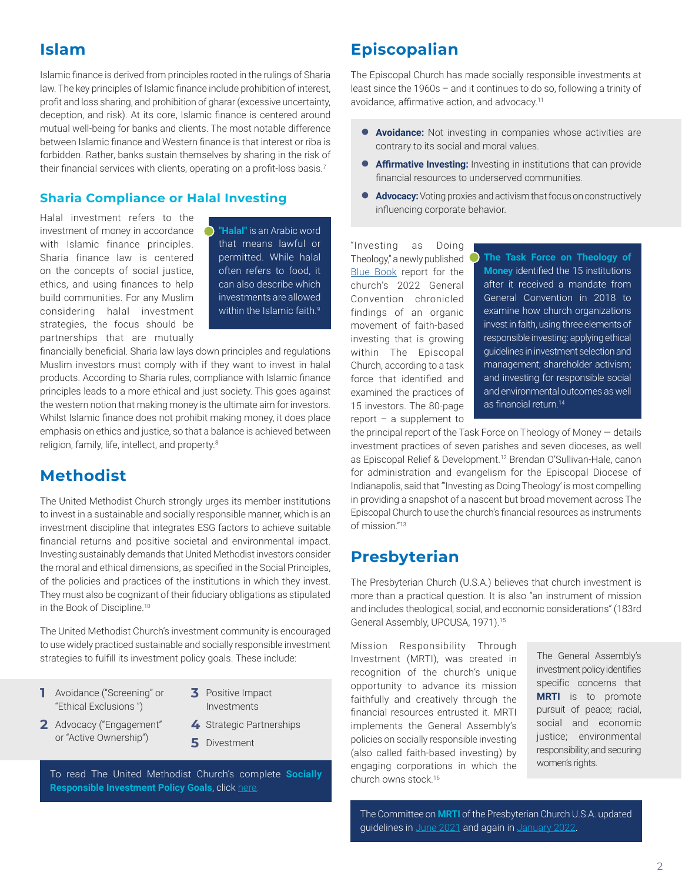## **Islam**

Islamic finance is derived from principles rooted in the rulings of Sharia law. The key principles of Islamic finance include prohibition of interest, profit and loss sharing, and prohibition of gharar (excessive uncertainty, deception, and risk). At its core, Islamic finance is centered around mutual well-being for banks and clients. The most notable difference between Islamic finance and Western finance is that interest or riba is forbidden. Rather, banks sustain themselves by sharing in the risk of their financial services with clients, operating on a profit-loss basis.<sup>7</sup>

#### **Sharia Compliance or Halal Investing**

Halal investment refers to the investment of money in accordance with Islamic finance principles. Sharia finance law is centered on the concepts of social justice, ethics, and using finances to help build communities. For any Muslim considering halal investment strategies, the focus should be partnerships that are mutually

**"Halal"** is an Arabic word that means lawful or permitted. While halal often refers to food, it can also describe which investments are allowed within the Islamic faith.<sup>9</sup>

financially beneficial. Sharia law lays down principles and regulations Muslim investors must comply with if they want to invest in halal products. According to Sharia rules, compliance with Islamic finance principles leads to a more ethical and just society. This goes against the western notion that making money is the ultimate aim for investors. Whilst Islamic finance does not prohibit making money, it does place emphasis on ethics and justice, so that a balance is achieved between religion, family, life, intellect, and property.<sup>8</sup>

## **Methodist**

The United Methodist Church strongly urges its member institutions to invest in a sustainable and socially responsible manner, which is an investment discipline that integrates ESG factors to achieve suitable financial returns and positive societal and environmental impact. Investing sustainably demands that United Methodist investors consider the moral and ethical dimensions, as specified in the Social Principles, of the policies and practices of the institutions in which they invest. They must also be cognizant of their fiduciary obligations as stipulated in the Book of Discipline.<sup>10</sup>

The United Methodist Church's investment community is encouraged to use widely practiced sustainable and socially responsible investment strategies to fulfill its investment policy goals. These include:

- **1** Avoidance ("Screening" or "Ethical Exclusions ")
- **2** Advocacy ("Engagement" or "Active Ownership")
- **3** Positive Impact Investments
	- **4** Strategic Partnerships
	- **5** Divestment

To read The United Methodist Church's complete **Socially Responsible Investment Policy Goals**, click [here](https://www.umc.org/en/content/book-of-resolutions-investment-ethics).

## **Episcopalian**

The Episcopal Church has made socially responsible investments at least since the 1960s – and it continues to do so, following a trinity of avoidance, affirmative action, and advocacy.<sup>11</sup>

- **Avoidance:** Not investing in companies whose activities are contrary to its social and moral values.
- **Affirmative Investing:** Investing in institutions that can provide financial resources to underserved communities.
- **Advocacy:** Voting proxies and activism that focus on constructively influencing corporate behavior.

"Investing as Doing Theology," a newly published [Blue Book](https://www.generalconvention.org/bluebook2021) report for the church's 2022 General Convention chronicled findings of an organic movement of faith-based investing that is growing within The Episcopal Church, according to a task force that identified and examined the practices of 15 investors. The 80-page report – a supplement to

**The Task Force on Theology of Money** identified the 15 institutions after it received a mandate from General Convention in 2018 to examine how church organizations invest in faith, using three elements of responsible investing: applying ethical guidelines in investment selection and management; shareholder activism; and investing for responsible social and environmental outcomes as well as financial return.<sup>14</sup>

the principal report of the Task Force on Theology of Money — details investment practices of seven parishes and seven dioceses, as well as Episcopal Relief & Development.<sup>12</sup> Brendan O'Sullivan-Hale, canon for administration and evangelism for the Episcopal Diocese of Indianapolis, said that "'Investing as Doing Theology' is most compelling in providing a snapshot of a nascent but broad movement across The Episcopal Church to use the church's financial resources as instruments of mission."13

## **Presbyterian**

The Presbyterian Church (U.S.A.) believes that church investment is more than a practical question. It is also "an instrument of mission and includes theological, social, and economic considerations" (183rd General Assembly, UPCUSA, 1971).<sup>15</sup>

Mission Responsibility Through Investment (MRTI), was created in recognition of the church's unique opportunity to advance its mission faithfully and creatively through the financial resources entrusted it. MRTI implements the General Assembly's policies on socially responsible investing (also called faith-based investing) by engaging corporations in which the church owns stock.<sup>16</sup>

The General Assembly's investment policy identifies specific concerns that **MRTI** is to promote pursuit of peace; racial, social and economic justice; environmental responsibility; and securing women's rights.

The Committee on **MRTI** of the Presbyterian Church U.S.A. updated guidelines in [June 2021](https://www.presbyterianmission.org/wp-content/uploads/MRTI-Guideline-Metrics-June-2021.pdf) and again in [January 2022.](https://www.presbyterianmission.org/wp-content/uploads/Final-Approved-January-2022-Guideline-Metrics.pdf)